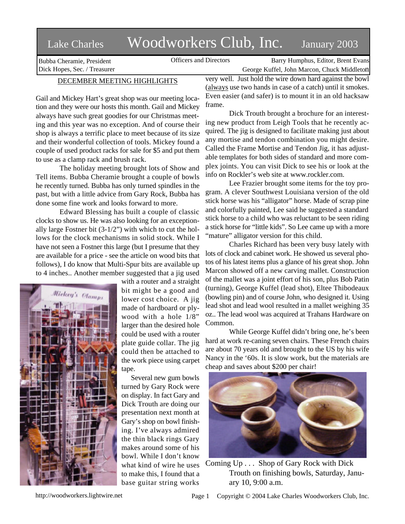## Lake Charles Woodworkers Club, Inc. January 2003

Bubba Cheramie, President Dick Hopes, Sec. / Treasurer

Officers and Directors Barry Humphus, Editor, Brent Evans George Kuffel, John Marcon, Chuck Middleton

## DECEMBER MEETING HIGHLIGHTS

Gail and Mickey Hart's great shop was our meeting location and they were our hosts this month. Gail and Mickey always have such great goodies for our Christmas meeting and this year was no exception. And of course their shop is always a terrific place to meet because of its size and their wonderful collection of tools. Mickey found a couple of used product racks for sale for \$5 and put them to use as a clamp rack and brush rack.

The holiday meeting brought lots of Show and Tell items. Bubba Cheramie brought a couple of bowls he recently turned. Bubba has only turned spindles in the past, but with a little advice from Gary Rock, Bubba has done some fine work and looks forward to more.

Edward Blessing has built a couple of classic clocks to show us. He was also looking for an exceptionally large Fostner bit (3-1/2") with which to cut the hollows for the clock mechanisms in solid stock. While I have not seen a Fostner this large (but I presume that they are available for a price - see the article on wood bits that follows), I do know that Multi-Spur bits are available up to 4 inches.. Another member suggested that a jig used



with a router and a straight bit might be a good and lower cost choice. A jig made of hardboard or plywood with a hole 1/8" larger than the desired hole could be used with a router plate guide collar. The jig could then be attached to the work piece using carpet tape.

Several new gum bowls turned by Gary Rock were on display. In fact Gary and Dick Trouth are doing our presentation next month at Gary's shop on bowl finishing. I've always admired the thin black rings Gary makes around some of his bowl. While I don't know what kind of wire he uses to make this, I found that a base guitar string works

very well. Just hold the wire down hard against the bowl (always use two hands in case of a catch) until it smokes. Even easier (and safer) is to mount it in an old hacksaw frame.

Dick Trouth brought a brochure for an interesting new product from Leigh Tools that he recently acquired. The jig is designed to facilitate making just about any mortise and tendon combination you might desire. Called the Frame Mortise and Tendon Jig, it has adjustable templates for both sides of standard and more complex joints. You can visit Dick to see his or look at the info on Rockler's web site at www.rockler.com.

Lee Frazier brought some items for the toy program. A clever Southwest Louisiana version of the old stick horse was his "alligator" horse. Made of scrap pine and colorfully painted, Lee said he suggested a standard stick horse to a child who was reluctant to be seen riding a stick horse for "little kids". So Lee came up with a more "mature" alligator version for this child.

Charles Richard has been very busy lately with lots of clock and cabinet work. He showed us several photos of his latest items plus a glance of his great shop. John Marcon showed off a new carving mallet. Construction of the mallet was a joint effort of his son, plus Bob Patin (turning), George Kuffel (lead shot), Eltee Thibodeaux (bowling pin) and of course John, who designed it. Using lead shot and lead wool resulted in a mallet weighing 35 oz.. The lead wool was acquired at Trahans Hardware on Common.

While George Kuffel didn't bring one, he's been hard at work re-caning seven chairs. These French chairs are about 70 years old and brought to the US by his wife Nancy in the '60s. It is slow work, but the materials are cheap and saves about \$200 per chair!



Coming Up . . . Shop of Gary Rock with Dick Trouth on finishing bowls, Saturday, January 10, 9:00 a.m.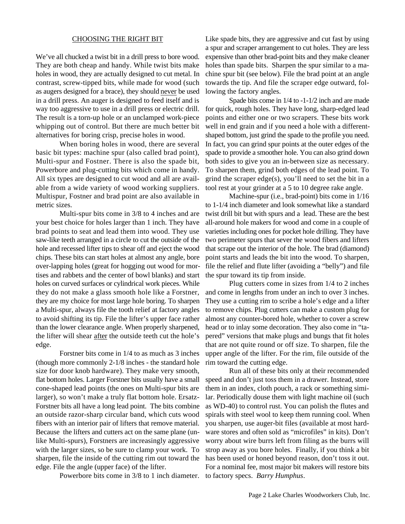## CHOOSING THE RIGHT BIT

We've all chucked a twist bit in a drill press to bore wood. They are both cheap and handy. While twist bits make holes in wood, they are actually designed to cut metal. In contrast, screw-tipped bits, while made for wood (such as augers designed for a brace), they should never be used in a drill press. An auger is designed to feed itself and is way too aggressive to use in a drill press or electric drill. The result is a torn-up hole or an unclamped work-piece whipping out of control. But there are much better bit alternatives for boring crisp, precise holes in wood.

When boring holes in wood, there are several basic bit types: machine spur (also called brad point), Multi-spur and Fostner. There is also the spade bit, Powerbore and plug-cutting bits which come in handy. All six types are designed to cut wood and all are available from a wide variety of wood working suppliers. Multispur, Fostner and brad point are also available in metric sizes.

Multi-spur bits come in 3/8 to 4 inches and are your best choice for holes larger than 1 inch. They have brad points to seat and lead them into wood. They use saw-like teeth arranged in a circle to cut the outside of the hole and recessed lifter tips to shear off and eject the wood chips. These bits can start holes at almost any angle, bore over-lapping holes (great for hogging out wood for mortises and rabbets and the center of bowl blanks) and start holes on curved surfaces or cylindrical work pieces. While they do not make a glass smooth hole like a Forstner, they are my choice for most large hole boring. To sharpen a Multi-spur, always file the tooth relief at factory angles to avoid shifting its tip. File the lifter's upper face rather than the lower clearance angle. When properly sharpened, the lifter will shear after the outside teeth cut the hole's edge.

Forstner bits come in 1/4 to as much as 3 inches (though more commonly 2-1/8 inches - the standard hole size for door knob hardware). They make very smooth, flat bottom holes. Larger Forstner bits usually have a small cone-shaped lead points (the ones on Multi-spur bits are larger), so won't make a truly flat bottom hole. Ersatz-Forstner bits all have a long lead point. The bits combine an outside razor-sharp circular band, which cuts wood fibers with an interior pair of lifters that remove material. Because the lifters and cutters act on the same plane (unlike Multi-spurs), Forstners are increasingly aggressive with the larger sizes, so be sure to clamp your work. To sharpen, file the inside of the cutting rim out toward the edge. File the angle (upper face) of the lifter.

Powerbore bits come in 3/8 to 1 inch diameter. to factory specs. *Barry Humphus*.

Like spade bits, they are aggressive and cut fast by using a spur and scraper arrangement to cut holes. They are less expensive than other brad-point bits and they make cleaner holes than spade bits. Sharpen the spur similar to a machine spur bit (see below). File the brad point at an angle towards the tip. And file the scraper edge outward, following the factory angles.

Spade bits come in 1/4 to -1-1/2 inch and are made for quick, rough holes. They have long, sharp-edged lead points and either one or two scrapers. These bits work well in end grain and if you need a hole with a differentshaped bottom, just grind the spade to the profile you need. In fact, you can grind spur points at the outer edges of the spade to provide a smoother hole. You can also grind down both sides to give you an in-between size as necessary. To sharpen them, grind both edges of the lead point. To grind the scraper edge(s), you'll need to set the bit in a tool rest at your grinder at a 5 to 10 degree rake angle.

Machine-spur (i.e., brad-point) bits come in 1/16 to 1-1/4 inch diameter and look somewhat like a standard twist drill bit but with spurs and a lead. These are the best all-around hole makers for wood and come in a couple of varieties including ones for pocket hole drilling. They have two perimeter spurs that sever the wood fibers and lifters that scrape out the interior of the hole. The brad (diamond) point starts and leads the bit into the wood. To sharpen, file the relief and flute lifter (avoiding a "belly") and file the spur toward its tip from inside.

Plug cutters come in sizes from 1/4 to 2 inches and come in lengths from under an inch to over 3 inches. They use a cutting rim to scribe a hole's edge and a lifter to remove chips. Plug cutters can make a custom plug for almost any counter-bored hole, whether to cover a screw head or to inlay some decoration. They also come in "tapered" versions that make plugs and bungs that fit holes that are not quite round or off size. To sharpen, file the upper angle of the lifter. For the rim, file outside of the rim toward the cutting edge.

Run all of these bits only at their recommended speed and don't just toss them in a drawer. Instead, store them in an index, cloth pouch, a rack or something similar. Periodically douse them with light machine oil (such as WD-40) to control rust. You can polish the flutes and spirals with steel wool to keep them running cool. When you sharpen, use auger-bit files (available at most hardware stores and often sold as "microfiles" in kits). Don't worry about wire burrs left from filing as the burrs will strop away as you bore holes. Finally, if you think a bit has been used or honed beyond reason, don't toss it out. For a nominal fee, most major bit makers will restore bits